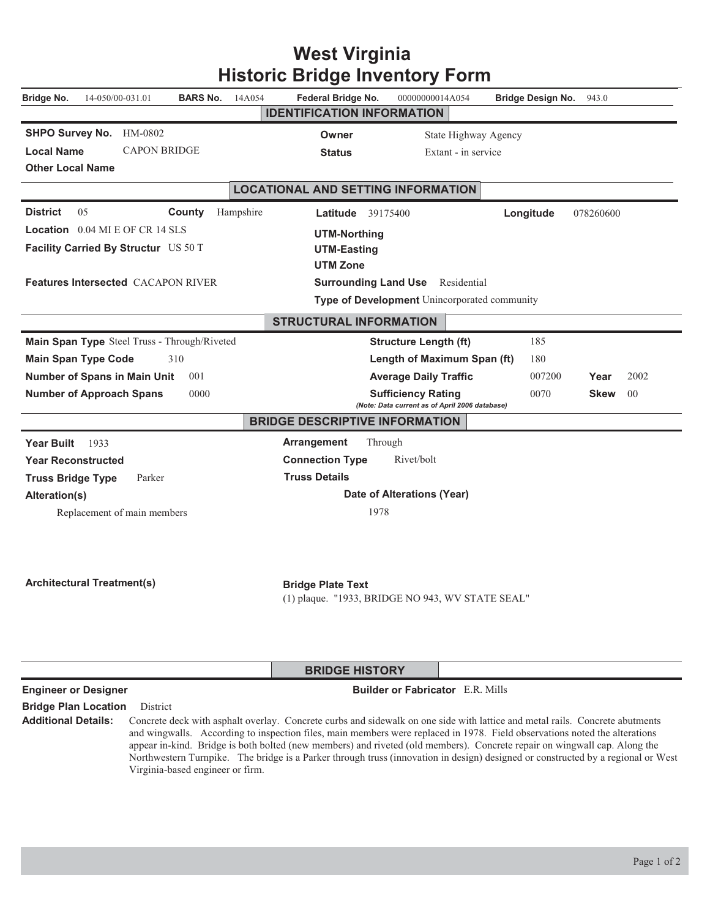|                                                   |           |                                                                              | Historic Bridge Inventory Form                                              |                          |                       |  |  |
|---------------------------------------------------|-----------|------------------------------------------------------------------------------|-----------------------------------------------------------------------------|--------------------------|-----------------------|--|--|
| 14-050/00-031.01<br><b>BARS No.</b><br>Bridge No. | 14A054    | Federal Bridge No.                                                           | 00000000014A054                                                             | <b>Bridge Design No.</b> | 943.0                 |  |  |
|                                                   |           | <b>IDENTIFICATION INFORMATION</b>                                            |                                                                             |                          |                       |  |  |
| <b>SHPO Survey No.</b><br>HM-0802                 |           | State Highway Agency<br>Owner                                                |                                                                             |                          |                       |  |  |
| <b>CAPON BRIDGE</b><br><b>Local Name</b>          |           | <b>Status</b>                                                                | Extant - in service                                                         |                          |                       |  |  |
| <b>Other Local Name</b>                           |           |                                                                              |                                                                             |                          |                       |  |  |
|                                                   |           | <b>LOCATIONAL AND SETTING INFORMATION</b>                                    |                                                                             |                          |                       |  |  |
| <b>District</b><br>05<br>County                   | Hampshire | <b>Latitude</b> 39175400                                                     |                                                                             | Longitude                | 078260600             |  |  |
| <b>Location</b> $0.04$ MI E OF CR 14 SLS          |           | <b>UTM-Northing</b>                                                          |                                                                             |                          |                       |  |  |
| Facility Carried By Structur US 50 T              |           | <b>UTM-Easting</b>                                                           |                                                                             |                          |                       |  |  |
|                                                   |           | <b>UTM Zone</b>                                                              |                                                                             |                          |                       |  |  |
| <b>Features Intersected CACAPON RIVER</b>         |           |                                                                              | <b>Surrounding Land Use</b> Residential                                     |                          |                       |  |  |
|                                                   |           |                                                                              | Type of Development Unincorporated community                                |                          |                       |  |  |
|                                                   |           | <b>STRUCTURAL INFORMATION</b>                                                |                                                                             |                          |                       |  |  |
| Main Span Type Steel Truss - Through/Riveted      |           |                                                                              | <b>Structure Length (ft)</b>                                                | 185                      |                       |  |  |
| 310<br><b>Main Span Type Code</b>                 |           |                                                                              | Length of Maximum Span (ft)                                                 | 180                      |                       |  |  |
| <b>Number of Spans in Main Unit</b><br>001        |           |                                                                              | <b>Average Daily Traffic</b>                                                | 007200                   | 2002<br>Year          |  |  |
| <b>Number of Approach Spans</b><br>0000           |           |                                                                              | <b>Sufficiency Rating</b><br>(Note: Data current as of April 2006 database) | 0070                     | <b>Skew</b><br>$00\,$ |  |  |
|                                                   |           | <b>BRIDGE DESCRIPTIVE INFORMATION</b>                                        |                                                                             |                          |                       |  |  |
| <b>Year Built</b><br>1933                         |           | Arrangement                                                                  | Through                                                                     |                          |                       |  |  |
| <b>Year Reconstructed</b>                         |           | <b>Connection Type</b>                                                       | Rivet/bolt                                                                  |                          |                       |  |  |
| <b>Truss Bridge Type</b><br>Parker                |           | <b>Truss Details</b>                                                         |                                                                             |                          |                       |  |  |
| Alteration(s)                                     |           | Date of Alterations (Year)                                                   |                                                                             |                          |                       |  |  |
| Replacement of main members                       |           | 1978                                                                         |                                                                             |                          |                       |  |  |
|                                                   |           |                                                                              |                                                                             |                          |                       |  |  |
|                                                   |           |                                                                              |                                                                             |                          |                       |  |  |
| <b>Architectural Treatment(s)</b>                 |           |                                                                              |                                                                             |                          |                       |  |  |
|                                                   |           | <b>Bridge Plate Text</b><br>(1) plaque. "1933, BRIDGE NO 943, WV STATE SEAL" |                                                                             |                          |                       |  |  |
|                                                   |           |                                                                              |                                                                             |                          |                       |  |  |
|                                                   |           |                                                                              |                                                                             |                          |                       |  |  |
|                                                   |           |                                                                              |                                                                             |                          |                       |  |  |
|                                                   |           | <b>BRIDGE HISTORY</b>                                                        |                                                                             |                          |                       |  |  |

## **West Virginia Historic Bridge Inventory Form**

**Engineer or Designer Community Community Community Community Community Community Community Community Community Community Community Community Community Community Community Community Community Community Community Community** 

**Bridge Plan Location** District

Additional Details: Concrete deck with asphalt overlay. Concrete curbs and sidewalk on one side with lattice and metal rails. Concrete abutments and wingwalls. According to inspection files, main members were replaced in 1978. Field observations noted the alterations appear in-kind. Bridge is both bolted (new members) and riveted (old members). Concrete repair on wingwall cap. Along the Northwestern Turnpike. The bridge is a Parker through truss (innovation in design) designed or constructed by a regional or West Virginia-based engineer or firm.